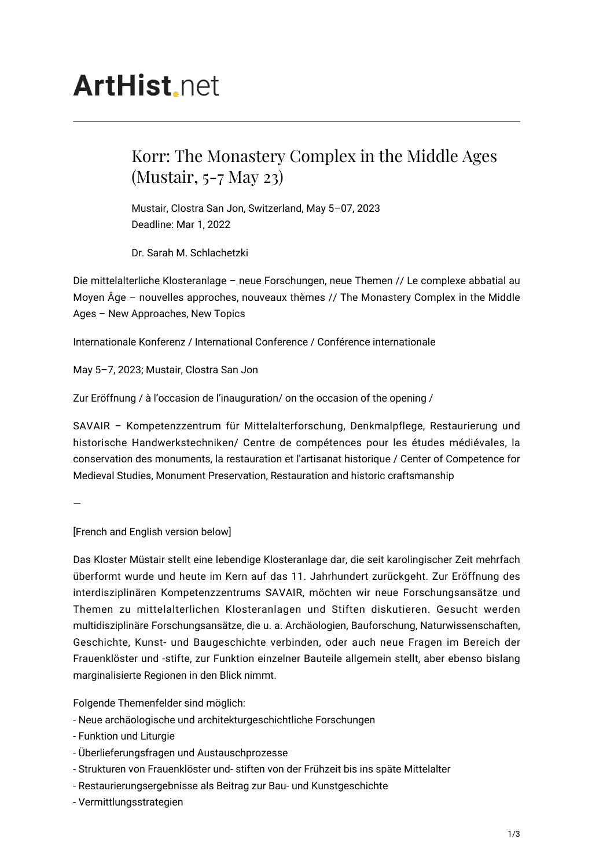# **ArtHist** net

## Korr: The Monastery Complex in the Middle Ages (Mustair, 5-7 May 23)

Mustair, Clostra San Jon, Switzerland, May 5–07, 2023 Deadline: Mar 1, 2022

Dr. Sarah M. Schlachetzki

Die mittelalterliche Klosteranlage – neue Forschungen, neue Themen // Le complexe abbatial au Moyen Âge – nouvelles approches, nouveaux thèmes // The Monastery Complex in the Middle Ages – New Approaches, New Topics

Internationale Konferenz / International Conference / Conférence internationale

May 5–7, 2023; Mustair, Clostra San Jon

Zur Eröffnung / à l'occasion de l'inauguration/ on the occasion of the opening /

SAVAIR – Kompetenzzentrum für Mittelalterforschung, Denkmalpflege, Restaurierung und historische Handwerkstechniken/ Centre de compétences pour les études médiévales, la conservation des monuments, la restauration et l'artisanat historique / Center of Competence for Medieval Studies, Monument Preservation, Restauration and historic craftsmanship

—

[French and English version below]

Das Kloster Müstair stellt eine lebendige Klosteranlage dar, die seit karolingischer Zeit mehrfach überformt wurde und heute im Kern auf das 11. Jahrhundert zurückgeht. Zur Eröffnung des interdisziplinären Kompetenzzentrums SAVAIR, möchten wir neue Forschungsansätze und Themen zu mittelalterlichen Klosteranlagen und Stiften diskutieren. Gesucht werden multidisziplinäre Forschungsansätze, die u. a. Archäologien, Bauforschung, Naturwissenschaften, Geschichte, Kunst- und Baugeschichte verbinden, oder auch neue Fragen im Bereich der Frauenklöster und -stifte, zur Funktion einzelner Bauteile allgemein stellt, aber ebenso bislang marginalisierte Regionen in den Blick nimmt.

Folgende Themenfelder sind möglich:

- Neue archäologische und architekturgeschichtliche Forschungen
- Funktion und Liturgie
- Überlieferungsfragen und Austauschprozesse
- Strukturen von Frauenklöster und- stiften von der Frühzeit bis ins späte Mittelalter
- Restaurierungsergebnisse als Beitrag zur Bau- und Kunstgeschichte
- Vermittlungsstrategien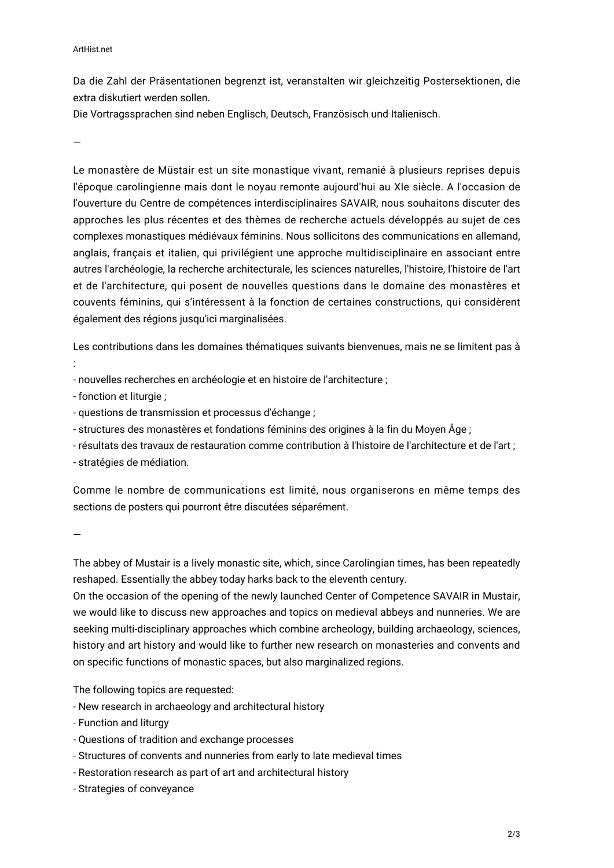#### ArtHist.net

Da die Zahl der Präsentationen begrenzt ist, veranstalten wir gleichzeitig Postersektionen, die extra diskutiert werden sollen.

Die Vortragssprachen sind neben Englisch, Deutsch, Französisch und Italienisch.

—

Le monastère de Müstair est un site monastique vivant, remanié à plusieurs reprises depuis l'époque carolingienne mais dont le noyau remonte aujourd'hui au XIe siècle. A l'occasion de l'ouverture du Centre de compétences interdisciplinaires SAVAIR, nous souhaitons discuter des approches les plus récentes et des thèmes de recherche actuels développés au sujet de ces complexes monastiques médiévaux féminins. Nous sollicitons des communications en allemand, anglais, français et italien, qui privilégient une approche multidisciplinaire en associant entre autres l'archéologie, la recherche architecturale, les sciences naturelles, l'histoire, l'histoire de l'art et de l'architecture, qui posent de nouvelles questions dans le domaine des monastères et couvents féminins, qui s'intéressent à la fonction de certaines constructions, qui considèrent également des régions jusqu'ici marginalisées.

Les contributions dans les domaines thématiques suivants bienvenues, mais ne se limitent pas à :

- nouvelles recherches en archéologie et en histoire de l'architecture ;

- fonction et liturgie ;

- questions de transmission et processus d'échange ;

- structures des monastères et fondations féminins des origines à la fin du Moyen Âge ;

- résultats des travaux de restauration comme contribution à l'histoire de l'architecture et de l'art ; - stratégies de médiation.

Comme le nombre de communications est limité, nous organiserons en même temps des sections de posters qui pourront être discutées séparément.

—

The abbey of Mustair is a lively monastic site, which, since Carolingian times, has been repeatedly reshaped. Essentially the abbey today harks back to the eleventh century.

On the occasion of the opening of the newly launched Center of Competence SAVAIR in Mustair, we would like to discuss new approaches and topics on medieval abbeys and nunneries. We are seeking multi-disciplinary approaches which combine archeology, building archaeology, sciences, history and art history and would like to further new research on monasteries and convents and on specific functions of monastic spaces, but also marginalized regions.

The following topics are requested:

- New research in archaeology and architectural history
- Function and liturgy
- Questions of tradition and exchange processes
- Structures of convents and nunneries from early to late medieval times
- Restoration research as part of art and architectural history
- Strategies of conveyance